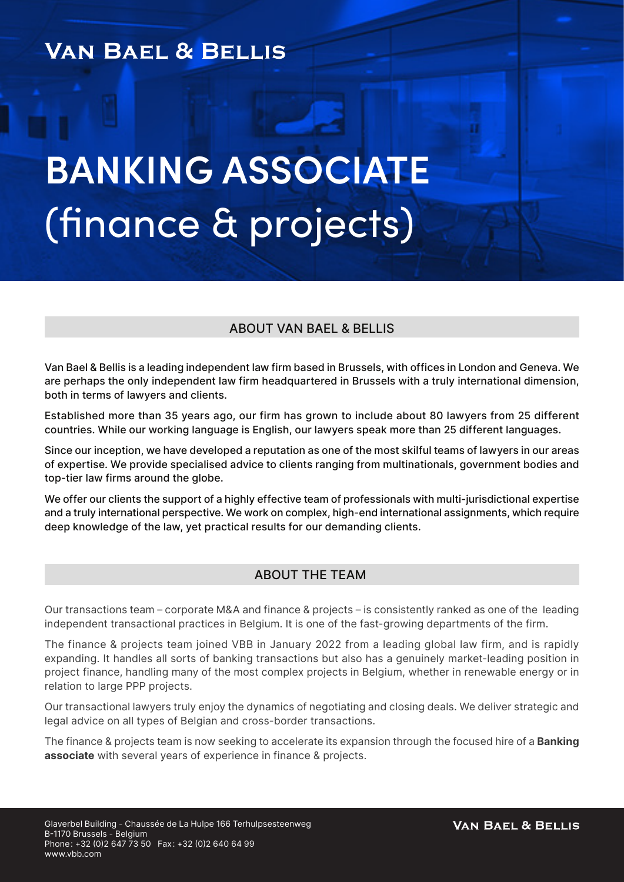# **VAN BAEL & BELLIS**

# **BANKING ASSOCIATE** (finance & projects)

### ABOUT VAN BAEL & BELLIS

Van Bael & Bellis is a leading independent law firm based in Brussels, with offices in London and Geneva. We are perhaps the only independent law firm headquartered in Brussels with a truly international dimension, both in terms of lawyers and clients.

Established more than 35 years ago, our firm has grown to include about 80 lawyers from 25 different countries. While our working language is English, our lawyers speak more than 25 different languages.

Since our inception, we have developed a reputation as one of the most skilful teams of lawyers in our areas of expertise. We provide specialised advice to clients ranging from multinationals, government bodies and top-tier law firms around the globe.

We offer our clients the support of a highly effective team of professionals with multi-jurisdictional expertise and a truly international perspective. We work on complex, high-end international assignments, which require deep knowledge of the law, yet practical results for our demanding clients.

#### ABOUT THE TEAM

Our transactions team – corporate M&A and finance & projects – is consistently ranked as one of the leading independent transactional practices in Belgium. It is one of the fast-growing departments of the firm.

The finance & projects team joined VBB in January 2022 from a leading global law firm, and is rapidly expanding. It handles all sorts of banking transactions but also has a genuinely market-leading position in project finance, handling many of the most complex projects in Belgium, whether in renewable energy or in relation to large PPP projects.

Our transactional lawyers truly enjoy the dynamics of negotiating and closing deals. We deliver strategic and legal advice on all types of Belgian and cross-border transactions.

The finance & projects team is now seeking to accelerate its expansion through the focused hire of a **Banking** associate with several years of experience in finance & projects.